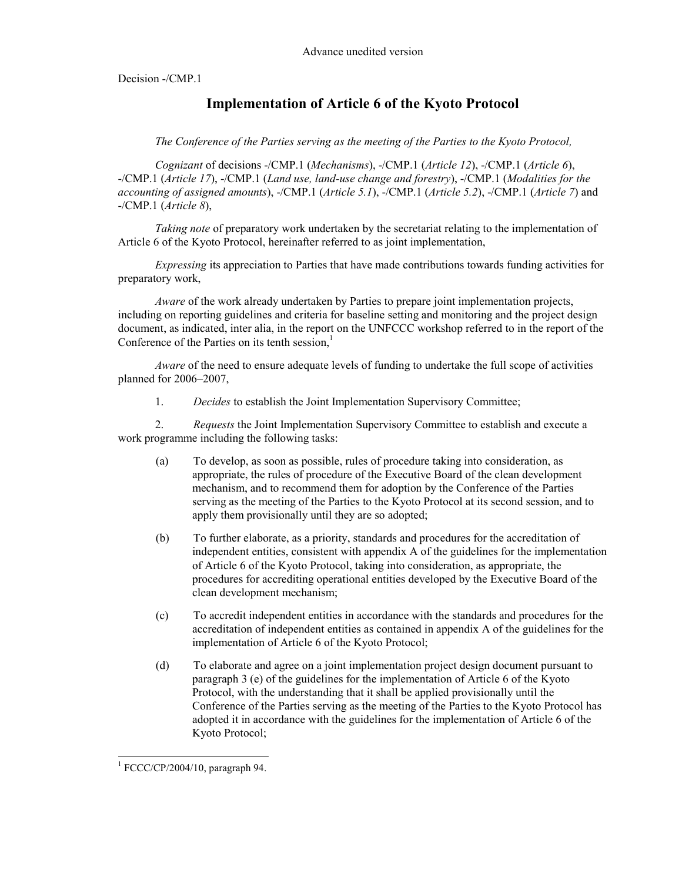Decision -/CMP.1

## **Implementation of Article 6 of the Kyoto Protocol**

*The Conference of the Parties serving as the meeting of the Parties to the Kyoto Protocol,* 

*Cognizant* of decisions -/CMP.1 (*Mechanisms*), -/CMP.1 (*Article 12*), -/CMP.1 (*Article 6*), -/CMP.1 (*Article 17*), -/CMP.1 (*Land use, land-use change and forestry*), -/CMP.1 (*Modalities for the accounting of assigned amounts*), -/CMP.1 (*Article 5.1*), -/CMP.1 (*Article 5.2*), -/CMP.1 (*Article 7*) and -/CMP.1 (*Article 8*),

*Taking note* of preparatory work undertaken by the secretariat relating to the implementation of Article 6 of the Kyoto Protocol, hereinafter referred to as joint implementation,

*Expressing* its appreciation to Parties that have made contributions towards funding activities for preparatory work,

*Aware* of the work already undertaken by Parties to prepare joint implementation projects, including on reporting guidelines and criteria for baseline setting and monitoring and the project design document, as indicated, inter alia, in the report on the UNFCCC workshop referred to in the report of the Conference of the Parties on its tenth session, $<sup>1</sup>$ </sup>

*Aware* of the need to ensure adequate levels of funding to undertake the full scope of activities planned for 2006–2007,

1. *Decides* to establish the Joint Implementation Supervisory Committee;

2. *Requests* the Joint Implementation Supervisory Committee to establish and execute a work programme including the following tasks:

- (a) To develop, as soon as possible, rules of procedure taking into consideration, as appropriate, the rules of procedure of the Executive Board of the clean development mechanism, and to recommend them for adoption by the Conference of the Parties serving as the meeting of the Parties to the Kyoto Protocol at its second session, and to apply them provisionally until they are so adopted;
- (b) To further elaborate, as a priority, standards and procedures for the accreditation of independent entities, consistent with appendix A of the guidelines for the implementation of Article 6 of the Kyoto Protocol, taking into consideration, as appropriate, the procedures for accrediting operational entities developed by the Executive Board of the clean development mechanism;
- (c) To accredit independent entities in accordance with the standards and procedures for the accreditation of independent entities as contained in appendix A of the guidelines for the implementation of Article 6 of the Kyoto Protocol;
- (d) To elaborate and agree on a joint implementation project design document pursuant to paragraph 3 (e) of the guidelines for the implementation of Article 6 of the Kyoto Protocol, with the understanding that it shall be applied provisionally until the Conference of the Parties serving as the meeting of the Parties to the Kyoto Protocol has adopted it in accordance with the guidelines for the implementation of Article 6 of the Kyoto Protocol;

-

 $1$  FCCC/CP/2004/10, paragraph 94.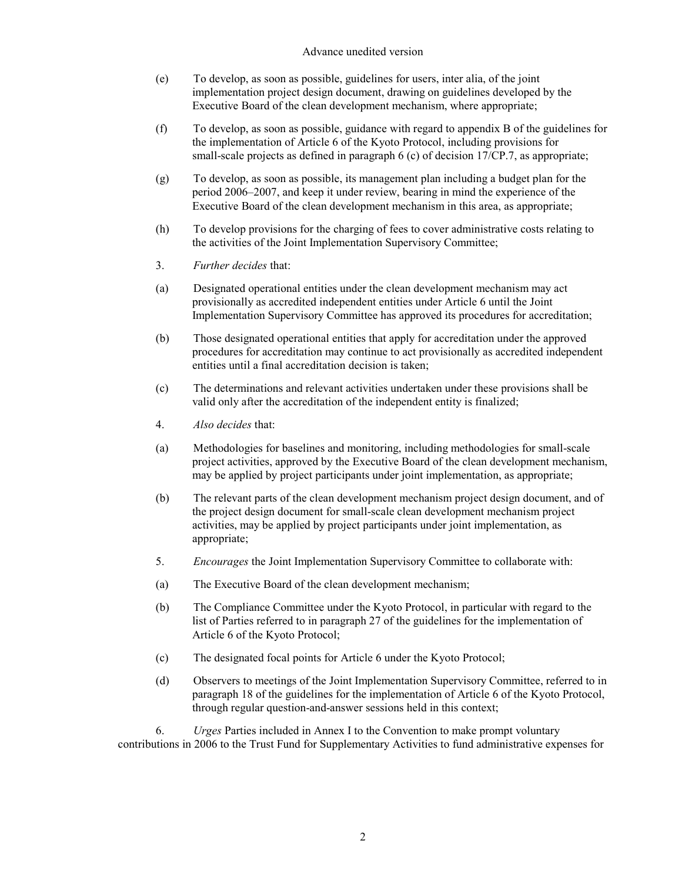## Advance unedited version

- (e) To develop, as soon as possible, guidelines for users, inter alia, of the joint implementation project design document, drawing on guidelines developed by the Executive Board of the clean development mechanism, where appropriate;
- (f) To develop, as soon as possible, guidance with regard to appendix B of the guidelines for the implementation of Article 6 of the Kyoto Protocol, including provisions for small-scale projects as defined in paragraph 6 (c) of decision 17/CP.7, as appropriate;
- (g) To develop, as soon as possible, its management plan including a budget plan for the period 2006–2007, and keep it under review, bearing in mind the experience of the Executive Board of the clean development mechanism in this area, as appropriate;
- (h) To develop provisions for the charging of fees to cover administrative costs relating to the activities of the Joint Implementation Supervisory Committee;
- 3. *Further decides* that:
- (a) Designated operational entities under the clean development mechanism may act provisionally as accredited independent entities under Article 6 until the Joint Implementation Supervisory Committee has approved its procedures for accreditation;
- (b) Those designated operational entities that apply for accreditation under the approved procedures for accreditation may continue to act provisionally as accredited independent entities until a final accreditation decision is taken;
- (c) The determinations and relevant activities undertaken under these provisions shall be valid only after the accreditation of the independent entity is finalized;
- 4. *Also decides* that:
- (a) Methodologies for baselines and monitoring, including methodologies for small-scale project activities, approved by the Executive Board of the clean development mechanism, may be applied by project participants under joint implementation, as appropriate;
- (b) The relevant parts of the clean development mechanism project design document, and of the project design document for small-scale clean development mechanism project activities, may be applied by project participants under joint implementation, as appropriate;
- 5. *Encourages* the Joint Implementation Supervisory Committee to collaborate with:
- (a) The Executive Board of the clean development mechanism;
- (b) The Compliance Committee under the Kyoto Protocol, in particular with regard to the list of Parties referred to in paragraph 27 of the guidelines for the implementation of Article 6 of the Kyoto Protocol;
- (c) The designated focal points for Article 6 under the Kyoto Protocol;
- (d) Observers to meetings of the Joint Implementation Supervisory Committee, referred to in paragraph 18 of the guidelines for the implementation of Article 6 of the Kyoto Protocol, through regular question-and-answer sessions held in this context;

6. *Urges* Parties included in Annex I to the Convention to make prompt voluntary contributions in 2006 to the Trust Fund for Supplementary Activities to fund administrative expenses for